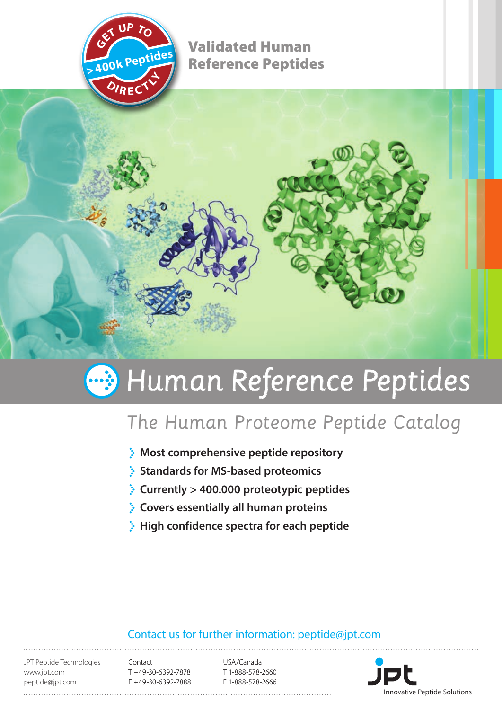

Validated Human Reference Peptides **>400k Peptides**

# **Human Reference Peptides**

# The Human Proteome Peptide Catalog

- **Most comprehensive peptide repository**
- **Standards for MS-based proteomics**
- **Currently > 400.000 proteotypic peptides**
- **Covers essentially all human proteins**
- **High confidence spectra for each peptide**

## Contact us for further information: peptide@jpt.com

JPT Peptide Technologies www.jpt.com peptide@jpt.com

Contact T +49-30-6392-7878 F +49-30-6392-7888

USA/Canada T 1-888-578-2660 F 1-888-578-2666